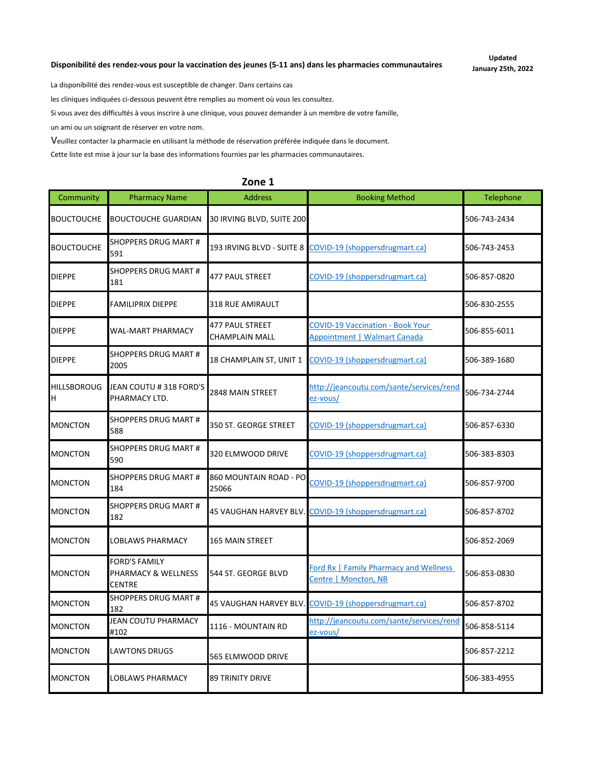#### **Disponibilité des rendez-vous pour la vaccination des jeunes (5-11 ans) dans les pharmacies communautaires**

**Updated January 25th, 2022**

La disponibilité des rendez-vous est susceptible de changer. Dans certains cas

les cliniques indiquées ci-dessous peuvent être remplies au moment où vous les consultez.

Si vous avez des difficultés à vous inscrire à une clinique, vous pouvez demander à un membre de votre famille,

un ami ou un soignant de réserver en votre nom.

Veuillez contacter la pharmacie en utilisant la méthode de réservation préférée indiquée dans le document.

Cette liste est mise à jour sur la base des informations fournies par les pharmacies communautaires.

| Community               | <b>Pharmacy Name</b>                                         | <b>Address</b>                                  | <b>Booking Method</b>                                                          | <b>Telephone</b> |
|-------------------------|--------------------------------------------------------------|-------------------------------------------------|--------------------------------------------------------------------------------|------------------|
| <b>BOUCTOUCHE</b>       | <b>BOUCTOUCHE GUARDIAN</b>                                   | 30 IRVING BLVD, SUITE 200                       |                                                                                | 506-743-2434     |
| <b>BOUCTOUCHE</b>       | <b>SHOPPERS DRUG MART#</b><br>591                            | 193 IRVING BLVD - SUITE 8                       | COVID-19 (shoppersdrugmart.ca)                                                 | 506-743-2453     |
| <b>DIEPPE</b>           | <b>SHOPPERS DRUG MART #</b><br>181                           | <b>477 PAUL STREET</b>                          | COVID-19 (shoppersdrugmart.ca)                                                 | 506-857-0820     |
| <b>DIEPPE</b>           | <b>FAMILIPRIX DIEPPE</b>                                     | 318 RUE AMIRAULT                                |                                                                                | 506-830-2555     |
| <b>DIEPPE</b>           | <b>WAL-MART PHARMACY</b>                                     | <b>477 PAUL STREET</b><br><b>CHAMPLAIN MALL</b> | <b>COVID-19 Vaccination - Book Your</b><br><b>Appointment   Walmart Canada</b> | 506-855-6011     |
| <b>DIEPPE</b>           | <b>SHOPPERS DRUG MART #</b><br>2005                          | 18 CHAMPLAIN ST, UNIT 1                         | COVID-19 (shoppersdrugmart.ca)                                                 | 506-389-1680     |
| <b>HILLSBOROUG</b><br>H | JEAN COUTU #318 FORD'S<br>PHARMACY LTD.                      | 2848 MAIN STREET                                | http://jeancoutu.com/sante/services/rend<br>ez-vous/                           | 506-734-2744     |
| <b>MONCTON</b>          | <b>SHOPPERS DRUG MART #</b><br>588                           | 350 ST. GEORGE STREET                           | COVID-19 (shoppersdrugmart.ca)                                                 | 506-857-6330     |
| <b>MONCTON</b>          | <b>SHOPPERS DRUG MART #</b><br>590                           | 320 ELMWOOD DRIVE                               | COVID-19 (shoppersdrugmart.ca)                                                 | 506-383-8303     |
| <b>MONCTON</b>          | <b>SHOPPERS DRUG MART #</b><br>184                           | 860 MOUNTAIN ROAD - PO<br>25066                 | COVID-19 (shoppersdrugmart.ca)                                                 | 506-857-9700     |
| <b>MONCTON</b>          | <b>SHOPPERS DRUG MART #</b><br>182                           | 45 VAUGHAN HARVEY BLV.                          | COVID-19 (shoppersdrugmart.ca)                                                 | 506-857-8702     |
| <b>MONCTON</b>          | <b>LOBLAWS PHARMACY</b>                                      | <b>165 MAIN STREET</b>                          |                                                                                | 506-852-2069     |
| <b>MONCTON</b>          | <b>FORD'S FAMILY</b><br>PHARMACY & WELLNESS<br><b>CENTRE</b> | 544 ST. GEORGE BLVD                             | <b>Ford Rx   Family Pharmacy and Wellness</b><br>Centre   Moncton, NB          | 506-853-0830     |
| <b>MONCTON</b>          | <b>SHOPPERS DRUG MART #</b><br>182                           |                                                 | 45 VAUGHAN HARVEY BLV. COVID-19 (shoppersdrugmart.ca)                          | 506-857-8702     |
| <b>MONCTON</b>          | <b>JEAN COUTU PHARMACY</b><br>#102                           | 1116 - MOUNTAIN RD                              | http://jeancoutu.com/sante/services/rend<br>ez-vous/                           | 506-858-5114     |
| <b>MONCTON</b>          | <b>LAWTONS DRUGS</b>                                         | 565 ELMWOOD DRIVE                               |                                                                                | 506-857-2212     |
| <b>MONCTON</b>          | LOBLAWS PHARMACY                                             | <b>89 TRINITY DRIVE</b>                         |                                                                                | 506-383-4955     |

#### **Zone 1**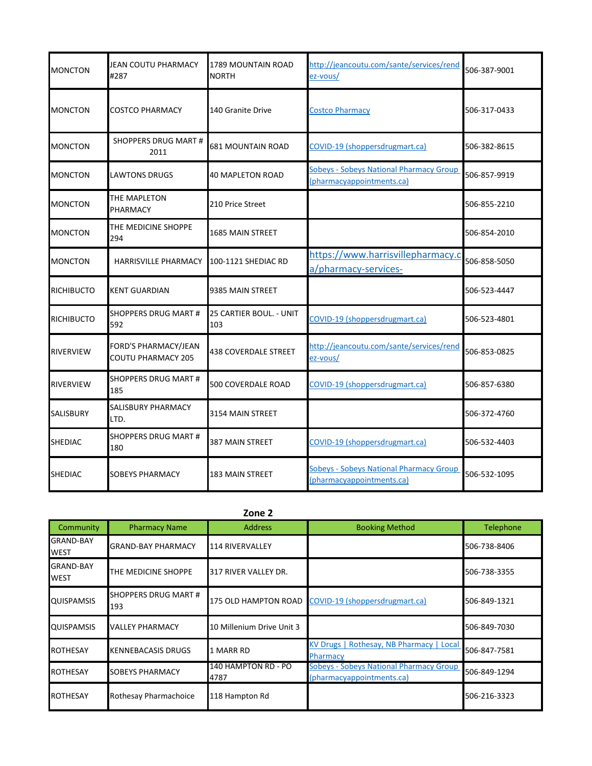| <b>MONCTON</b>    | <b>JEAN COUTU PHARMACY</b><br>#287         | 1789 MOUNTAIN ROAD<br><b>NORTH</b> | http://jeancoutu.com/sante/services/rend<br>ez-vous/                        | 506-387-9001 |
|-------------------|--------------------------------------------|------------------------------------|-----------------------------------------------------------------------------|--------------|
| <b>MONCTON</b>    | COSTCO PHARMACY                            | 140 Granite Drive                  | <b>Costco Pharmacy</b>                                                      | 506-317-0433 |
| <b>MONCTON</b>    | <b>SHOPPERS DRUG MART #</b><br>2011        | <b>681 MOUNTAIN ROAD</b>           | COVID-19 (shoppersdrugmart.ca)                                              | 506-382-8615 |
| <b>MONCTON</b>    | LAWTONS DRUGS                              | <b>40 MAPLETON ROAD</b>            | <b>Sobeys - Sobeys National Pharmacy Group</b><br>(pharmacyappointments.ca) | 506-857-9919 |
| <b>MONCTON</b>    | THE MAPLETON<br>PHARMACY                   | 210 Price Street                   |                                                                             | 506-855-2210 |
| <b>MONCTON</b>    | THE MEDICINE SHOPPE<br>294                 | 1685 MAIN STREET                   |                                                                             | 506-854-2010 |
| <b>MONCTON</b>    | <b>HARRISVILLE PHARMACY</b>                | 100-1121 SHEDIAC RD                | https://www.harrisvillepharmacy.c<br>a/pharmacy-services-                   | 506-858-5050 |
| <b>RICHIBUCTO</b> | <b>KENT GUARDIAN</b>                       | 9385 MAIN STREET                   |                                                                             | 506-523-4447 |
| <b>RICHIBUCTO</b> | <b>SHOPPERS DRUG MART #</b><br>592         | 25 CARTIER BOUL. - UNIT<br>103     | COVID-19 (shoppersdrugmart.ca)                                              | 506-523-4801 |
| <b>RIVERVIEW</b>  | FORD'S PHARMACY/JEAN<br>COUTU PHARMACY 205 | <b>438 COVERDALE STREET</b>        | http://jeancoutu.com/sante/services/rend<br>ez-vous/                        | 506-853-0825 |
| <b>RIVERVIEW</b>  | <b>SHOPPERS DRUG MART #</b><br>185         | 500 COVERDALE ROAD                 | COVID-19 (shoppersdrugmart.ca)                                              | 506-857-6380 |
| <b>SALISBURY</b>  | SALISBURY PHARMACY<br>LTD.                 | 3154 MAIN STREET                   |                                                                             | 506-372-4760 |
| <b>SHEDIAC</b>    | SHOPPERS DRUG MART #<br>180                | 387 MAIN STREET                    | COVID-19 (shoppersdrugmart.ca)                                              | 506-532-4403 |
| <b>SHEDIAC</b>    | SOBEYS PHARMACY                            | <b>183 MAIN STREET</b>             | <b>Sobeys - Sobeys National Pharmacy Group</b><br>(pharmacyappointments.ca) | 506-532-1095 |

|                                 |                                    | Zone 2                      |                                                                             |              |
|---------------------------------|------------------------------------|-----------------------------|-----------------------------------------------------------------------------|--------------|
| Community                       | <b>Pharmacy Name</b>               | <b>Address</b>              | <b>Booking Method</b>                                                       | Telephone    |
| <b>GRAND-BAY</b><br><b>WEST</b> | <b>GRAND-BAY PHARMACY</b>          | 114 RIVERVALLEY             |                                                                             | 506-738-8406 |
| <b>GRAND-BAY</b><br><b>WEST</b> | THE MEDICINE SHOPPE                | 317 RIVER VALLEY DR.        |                                                                             | 506-738-3355 |
| <b>QUISPAMSIS</b>               | <b>SHOPPERS DRUG MART #</b><br>193 | 175 OLD HAMPTON ROAD        | COVID-19 (shoppersdrugmart.ca)                                              | 506-849-1321 |
| <b>QUISPAMSIS</b>               | <b>VALLEY PHARMACY</b>             | 10 Millenium Drive Unit 3   |                                                                             | 506-849-7030 |
| <b>ROTHESAY</b>                 | <b>KENNEBACASIS DRUGS</b>          | 1 MARR RD                   | KV Drugs   Rothesay, NB Pharmacy   Local<br>Pharmacy                        | 506-847-7581 |
| <b>ROTHESAY</b>                 | <b>SOBEYS PHARMACY</b>             | 140 HAMPTON RD - PO<br>4787 | <b>Sobeys - Sobeys National Pharmacy Group</b><br>(pharmacyappointments.ca) | 506-849-1294 |
| <b>ROTHESAY</b>                 | Rothesay Pharmachoice              | 118 Hampton Rd              |                                                                             | 506-216-3323 |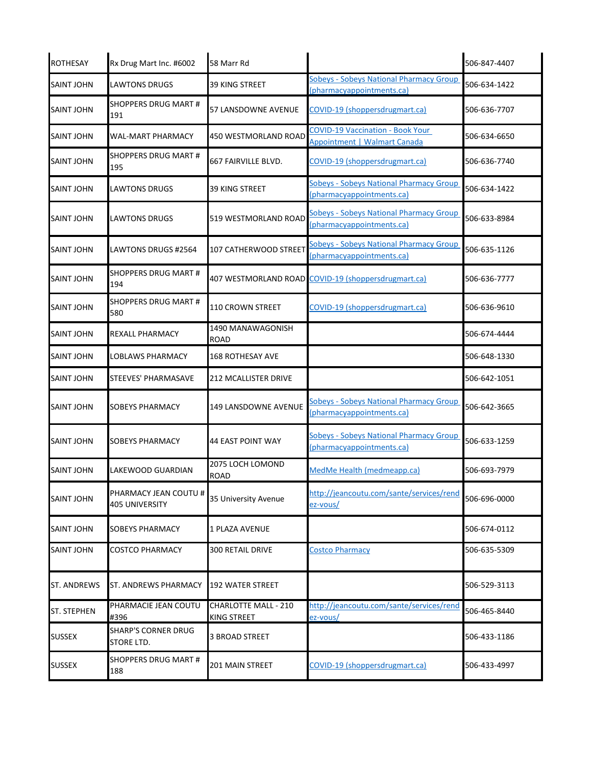| <b>ROTHESAY</b>    | Rx Drug Mart Inc. #6002                 | 58 Marr Rd                                        |                                                                                | 506-847-4407 |
|--------------------|-----------------------------------------|---------------------------------------------------|--------------------------------------------------------------------------------|--------------|
| <b>SAINT JOHN</b>  | <b>LAWTONS DRUGS</b>                    | <b>39 KING STREET</b>                             | <b>Sobeys - Sobeys National Pharmacy Group</b><br>(pharmacyappointments.ca)    | 506-634-1422 |
| <b>SAINT JOHN</b>  | SHOPPERS DRUG MART #<br>191             | 57 LANSDOWNE AVENUE                               | COVID-19 (shoppersdrugmart.ca)                                                 | 506-636-7707 |
| <b>SAINT JOHN</b>  | WAL-MART PHARMACY                       | 450 WESTMORLAND ROAD                              | <b>COVID-19 Vaccination - Book Your</b><br><b>Appointment   Walmart Canada</b> | 506-634-6650 |
| SAINT JOHN         | <b>SHOPPERS DRUG MART #</b><br>195      | 667 FAIRVILLE BLVD.                               | COVID-19 (shoppersdrugmart.ca)                                                 | 506-636-7740 |
| <b>SAINT JOHN</b>  | LAWTONS DRUGS                           | <b>39 KING STREET</b>                             | <b>Sobeys - Sobeys National Pharmacy Group</b><br>(pharmacyappointments.ca)    | 506-634-1422 |
| SAINT JOHN         | LAWTONS DRUGS                           | 519 WESTMORLAND ROAD                              | <b>Sobeys - Sobeys National Pharmacy Group</b><br>(pharmacyappointments.ca)    | 506-633-8984 |
| <b>SAINT JOHN</b>  | LAWTONS DRUGS #2564                     | 107 CATHERWOOD STREET                             | Sobeys - Sobeys National Pharmacy Group<br>(pharmacyappointments.ca)           | 506-635-1126 |
| <b>SAINT JOHN</b>  | SHOPPERS DRUG MART #<br>194             |                                                   | 407 WESTMORLAND ROAD COVID-19 (shoppersdrugmart.ca)                            | 506-636-7777 |
| <b>SAINT JOHN</b>  | SHOPPERS DRUG MART #<br>580             | 110 CROWN STREET                                  | COVID-19 (shoppersdrugmart.ca)                                                 | 506-636-9610 |
| <b>SAINT JOHN</b>  | REXALL PHARMACY                         | 1490 MANAWAGONISH<br><b>ROAD</b>                  |                                                                                | 506-674-4444 |
| <b>SAINT JOHN</b>  | LOBLAWS PHARMACY                        | <b>168 ROTHESAY AVE</b>                           |                                                                                | 506-648-1330 |
| <b>SAINT JOHN</b>  | STEEVES' PHARMASAVE                     | <b>212 MCALLISTER DRIVE</b>                       |                                                                                | 506-642-1051 |
| <b>SAINT JOHN</b>  | SOBEYS PHARMACY                         | <b>149 LANSDOWNE AVENUE</b>                       | Sobeys - Sobeys National Pharmacy Group<br>(pharmacyappointments.ca)           | 506-642-3665 |
| <b>SAINT JOHN</b>  | SOBEYS PHARMACY                         | <b>44 EAST POINT WAY</b>                          | <b>Sobeys - Sobeys National Pharmacy Group</b><br>(pharmacyappointments.ca)    | 506-633-1259 |
| <b>SAINT JOHN</b>  | LAKEWOOD GUARDIAN                       | 2075 LOCH LOMOND<br><b>ROAD</b>                   | MedMe Health (medmeapp.ca)                                                     | 506-693-7979 |
| <b>SAINT JOHN</b>  | PHARMACY JEAN COUTU #<br>405 UNIVERSITY | 35 University Avenue                              | http://jeancoutu.com/sante/services/rend<br>ez-vous/                           | 506-696-0000 |
| <b>SAINT JOHN</b>  | <b>SOBEYS PHARMACY</b>                  | 1 PLAZA AVENUE                                    |                                                                                | 506-674-0112 |
| <b>SAINT JOHN</b>  | <b>COSTCO PHARMACY</b>                  | 300 RETAIL DRIVE                                  | <b>Costco Pharmacy</b>                                                         | 506-635-5309 |
| <b>ST. ANDREWS</b> | ST. ANDREWS PHARMACY                    | <b>192 WATER STREET</b>                           |                                                                                | 506-529-3113 |
| <b>ST. STEPHEN</b> | PHARMACIE JEAN COUTU<br>#396            | <b>CHARLOTTE MALL - 210</b><br><b>KING STREET</b> | http://jeancoutu.com/sante/services/rend<br>ez-vous/                           | 506-465-8440 |
| <b>SUSSEX</b>      | SHARP'S CORNER DRUG<br>STORE LTD.       | <b>3 BROAD STREET</b>                             |                                                                                | 506-433-1186 |
| <b>SUSSEX</b>      | SHOPPERS DRUG MART #<br>188             | 201 MAIN STREET                                   | COVID-19 (shoppersdrugmart.ca)                                                 | 506-433-4997 |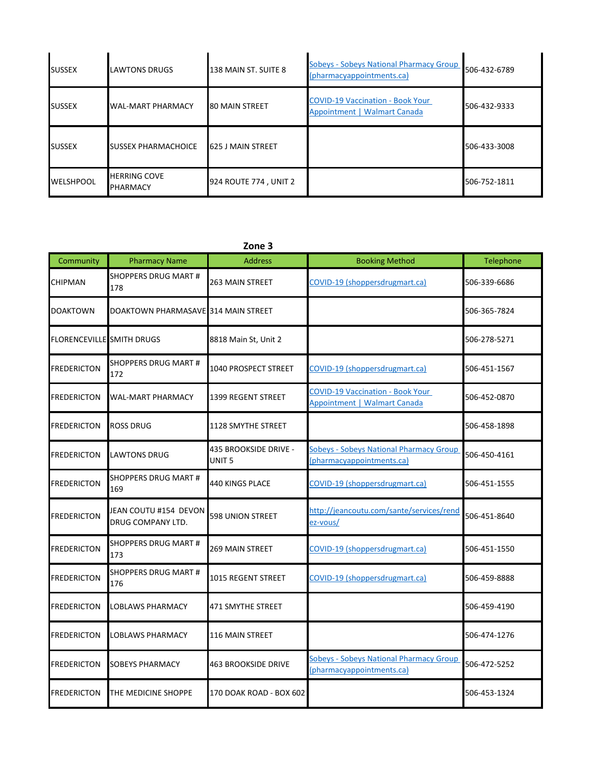| <b>SUSSEX</b>    | <b>LAWTONS DRUGS</b>            | 138 MAIN ST. SUITE 8  | Sobeys - Sobeys National Pharmacy Group<br>(pharmacyappointments.ca)    | 506-432-6789 |
|------------------|---------------------------------|-----------------------|-------------------------------------------------------------------------|--------------|
| <b>SUSSEX</b>    | <b>WAL-MART PHARMACY</b>        | <b>80 MAIN STREET</b> | <b>COVID-19 Vaccination - Book Your</b><br>Appointment   Walmart Canada | 506-432-9333 |
| <b>SUSSEX</b>    | <b>SUSSEX PHARMACHOICE</b>      | 625 J MAIN STREET     |                                                                         | 506-433-3008 |
| <b>WELSHPOOL</b> | <b>HERRING COVE</b><br>PHARMACY | 924 ROUTE 774, UNIT 2 |                                                                         | 506-752-1811 |

### **Zone 3**

| Community                        | <b>Pharmacy Name</b>                       | <b>Address</b>                             | <b>Booking Method</b>                                                       | Telephone    |
|----------------------------------|--------------------------------------------|--------------------------------------------|-----------------------------------------------------------------------------|--------------|
| CHIPMAN                          | <b>SHOPPERS DRUG MART #</b><br>178         | <b>263 MAIN STREET</b>                     | COVID-19 (shoppersdrugmart.ca)                                              | 506-339-6686 |
| <b>DOAKTOWN</b>                  | DOAKTOWN PHARMASAVE 314 MAIN STREET        |                                            |                                                                             | 506-365-7824 |
| <b>FLORENCEVILLE</b> SMITH DRUGS |                                            | 8818 Main St, Unit 2                       |                                                                             | 506-278-5271 |
| <b>FREDERICTON</b>               | <b>SHOPPERS DRUG MART #</b><br>172         | 1040 PROSPECT STREET                       | COVID-19 (shoppersdrugmart.ca)                                              | 506-451-1567 |
| <b>FREDERICTON</b>               | WAL-MART PHARMACY                          | 1399 REGENT STREET                         | <b>COVID-19 Vaccination - Book Your</b><br>Appointment   Walmart Canada     | 506-452-0870 |
| <b>FREDERICTON</b>               | ROSS DRUG                                  | 1128 SMYTHE STREET                         |                                                                             | 506-458-1898 |
| FREDERICTON                      | LAWTONS DRUG                               | 435 BROOKSIDE DRIVE -<br>UNIT <sub>5</sub> | <b>Sobeys - Sobeys National Pharmacy Group</b><br>(pharmacyappointments.ca) | 506-450-4161 |
| <b>FREDERICTON</b>               | SHOPPERS DRUG MART #<br>169                | 440 KINGS PLACE                            | COVID-19 (shoppersdrugmart.ca)                                              | 506-451-1555 |
| <b>FREDERICTON</b>               | JEAN COUTU #154 DEVON<br>DRUG COMPANY LTD. | <b>598 UNION STREET</b>                    | http://jeancoutu.com/sante/services/rend<br>ez-vous/                        | 506-451-8640 |
| <b>FREDERICTON</b>               | <b>SHOPPERS DRUG MART #</b><br>173         | <b>269 MAIN STREET</b>                     | COVID-19 (shoppersdrugmart.ca)                                              | 506-451-1550 |
| <b>FREDERICTON</b>               | <b>SHOPPERS DRUG MART #</b><br>176         | 1015 REGENT STREET                         | COVID-19 (shoppersdrugmart.ca)                                              | 506-459-8888 |
| <b>FREDERICTON</b>               | LOBLAWS PHARMACY                           | 471 SMYTHE STREET                          |                                                                             | 506-459-4190 |
| <b>FREDERICTON</b>               | LOBLAWS PHARMACY                           | <b>116 MAIN STREET</b>                     |                                                                             | 506-474-1276 |
| <b>FREDERICTON</b>               | SOBEYS PHARMACY                            | <b>463 BROOKSIDE DRIVE</b>                 | <b>Sobeys - Sobeys National Pharmacy Group</b><br>(pharmacyappointments.ca) | 506-472-5252 |
| <b>FREDERICTON</b>               | THE MEDICINE SHOPPE                        | 170 DOAK ROAD - BOX 602                    |                                                                             | 506-453-1324 |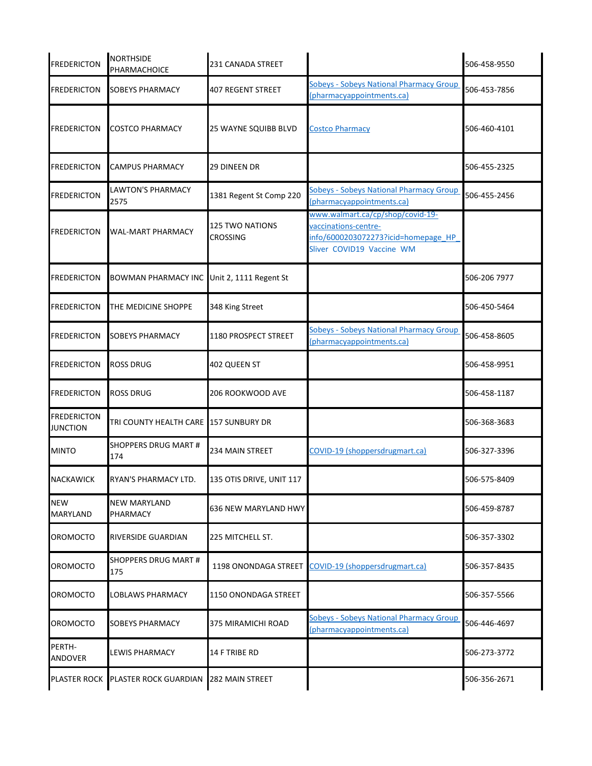| <b>FREDERICTON</b>                    | <b>NORTHSIDE</b><br>PHARMACHOICE                   | 231 CANADA STREET                         |                                                                                                                              | 506-458-9550 |
|---------------------------------------|----------------------------------------------------|-------------------------------------------|------------------------------------------------------------------------------------------------------------------------------|--------------|
| <b>FREDERICTON</b>                    | <b>SOBEYS PHARMACY</b>                             | <b>407 REGENT STREET</b>                  | <b>Sobeys - Sobeys National Pharmacy Group</b><br>(pharmacyappointments.ca)                                                  | 506-453-7856 |
| <b>FREDERICTON</b>                    | <b>COSTCO PHARMACY</b>                             | 25 WAYNE SQUIBB BLVD                      | <b>Costco Pharmacy</b>                                                                                                       | 506-460-4101 |
| FREDERICTON                           | <b>CAMPUS PHARMACY</b>                             | <b>29 DINEEN DR</b>                       |                                                                                                                              | 506-455-2325 |
| FREDERICTON                           | LAWTON'S PHARMACY<br>2575                          | 1381 Regent St Comp 220                   | <b>Sobeys - Sobeys National Pharmacy Group</b><br>(pharmacyappointments.ca)                                                  | 506-455-2456 |
| FREDERICTON                           | <b>WAL-MART PHARMACY</b>                           | <b>125 TWO NATIONS</b><br><b>CROSSING</b> | www.walmart.ca/cp/shop/covid-19-<br>vaccinations-centre-<br>info/6000203072273?icid=homepage HP<br>Sliver COVID19 Vaccine WM |              |
| FREDERICTON                           | BOWMAN PHARMACY INC Unit 2, 1111 Regent St         |                                           |                                                                                                                              | 506-206 7977 |
| <b>FREDERICTON</b>                    | THE MEDICINE SHOPPE                                | 348 King Street                           |                                                                                                                              | 506-450-5464 |
| FREDERICTON                           | <b>SOBEYS PHARMACY</b>                             | 1180 PROSPECT STREET                      | <b>Sobeys - Sobeys National Pharmacy Group</b><br>(pharmacyappointments.ca)                                                  | 506-458-8605 |
| FREDERICTON                           | <b>ROSS DRUG</b>                                   | 402 QUEEN ST                              |                                                                                                                              | 506-458-9951 |
| <b>FREDERICTON</b>                    | <b>ROSS DRUG</b>                                   | 206 ROOKWOOD AVE                          |                                                                                                                              | 506-458-1187 |
| <b>FREDERICTON</b><br><b>JUNCTION</b> | TRI COUNTY HEALTH CARE 157 SUNBURY DR              |                                           |                                                                                                                              | 506-368-3683 |
| <b>MINTO</b>                          | <b>SHOPPERS DRUG MART #</b><br>174                 | <b>234 MAIN STREET</b>                    | COVID-19 (shoppersdrugmart.ca)                                                                                               | 506-327-3396 |
| <b>NACKAWICK</b>                      | RYAN'S PHARMACY LTD.                               | 135 OTIS DRIVE, UNIT 117                  |                                                                                                                              | 506-575-8409 |
| <b>NEW</b><br>MARYLAND                | <b>NEW MARYLAND</b><br>PHARMACY                    | 636 NEW MARYLAND HWY                      |                                                                                                                              | 506-459-8787 |
| OROMOCTO                              | <b>RIVERSIDE GUARDIAN</b>                          | 225 MITCHELL ST.                          |                                                                                                                              | 506-357-3302 |
| OROMOCTO                              | SHOPPERS DRUG MART #<br>175                        |                                           | 1198 ONONDAGA STREET COVID-19 (shoppersdrugmart.ca)                                                                          | 506-357-8435 |
| <b>OROMOCTO</b>                       | <b>LOBLAWS PHARMACY</b>                            | 1150 ONONDAGA STREET                      |                                                                                                                              | 506-357-5566 |
| OROMOCTO                              | <b>SOBEYS PHARMACY</b>                             | 375 MIRAMICHI ROAD                        | <b>Sobeys - Sobeys National Pharmacy Group</b><br>(pharmacyappointments.ca)                                                  | 506-446-4697 |
| PERTH-<br><b>ANDOVER</b>              | <b>LEWIS PHARMACY</b>                              | 14 F TRIBE RD                             |                                                                                                                              | 506-273-3772 |
|                                       | PLASTER ROCK PLASTER ROCK GUARDIAN 282 MAIN STREET |                                           |                                                                                                                              | 506-356-2671 |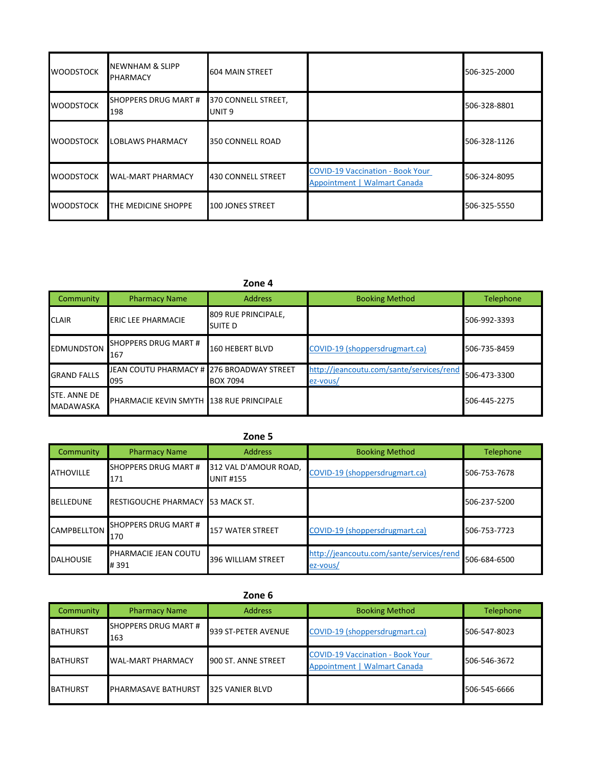| <b>WOODSTOCK</b> | <b>NEWNHAM &amp; SLIPP</b><br><b>PHARMACY</b> | <b>604 MAIN STREET</b>                   |                                                                         | 506-325-2000 |
|------------------|-----------------------------------------------|------------------------------------------|-------------------------------------------------------------------------|--------------|
| <b>WOODSTOCK</b> | SHOPPERS DRUG MART #<br>198                   | 370 CONNELL STREET,<br>UNIT <sub>9</sub> |                                                                         | 506-328-8801 |
| <b>WOODSTOCK</b> | LOBLAWS PHARMACY                              | 350 CONNELL ROAD                         |                                                                         | 506-328-1126 |
| <b>WOODSTOCK</b> | <b>WAL-MART PHARMACY</b>                      | <b>430 CONNELL STREET</b>                | <b>COVID-19 Vaccination - Book Your</b><br>Appointment   Walmart Canada | 506-324-8095 |
| <b>WOODSTOCK</b> | THE MEDICINE SHOPPE                           | 100 JONES STREET                         |                                                                         | 506-325-5550 |

### **Zone 4**

| Community                        | <b>Pharmacy Name</b>                             | <b>Address</b>                 | <b>Booking Method</b>                                | Telephone    |
|----------------------------------|--------------------------------------------------|--------------------------------|------------------------------------------------------|--------------|
| <b>CLAIR</b>                     | <b>ERIC LEE PHARMACIE</b>                        | 809 RUE PRINCIPALE,<br>SUITE D |                                                      | 506-992-3393 |
| <b>EDMUNDSTON</b>                | SHOPPERS DRUG MART #<br>167                      | 160 HEBERT BLVD                | COVID-19 (shoppersdrugmart.ca)                       | 506-735-8459 |
| <b>GRAND FALLS</b>               | JEAN COUTU PHARMACY # 276 BROADWAY STREET<br>095 | <b>BOX 7094</b>                | http://jeancoutu.com/sante/services/rend<br>ez-vous/ | 506-473-3300 |
| STE. ANNE DE<br><b>MADAWASKA</b> | <b>PHARMACIE KEVIN SMYTH 138 RUE PRINCIPALE</b>  |                                |                                                      | 506-445-2275 |

# **Zone 5**

| Community          | <b>Pharmacy Name</b>               | <b>Address</b>                            | <b>Booking Method</b>                                | Telephone    |
|--------------------|------------------------------------|-------------------------------------------|------------------------------------------------------|--------------|
| <b>ATHOVILLE</b>   | <b>SHOPPERS DRUG MART #</b><br>171 | 312 VAL D'AMOUR ROAD,<br><b>UNIT #155</b> | COVID-19 (shoppersdrugmart.ca)                       | 506-753-7678 |
| <b>BELLEDUNE</b>   | RESTIGOUCHE PHARMACY 53 MACK ST.   |                                           |                                                      | 506-237-5200 |
| <b>CAMPBELLTON</b> | <b>SHOPPERS DRUG MART #</b><br>170 | <b>157 WATER STREET</b>                   | COVID-19 (shoppersdrugmart.ca)                       | 506-753-7723 |
| <b>DALHOUSIE</b>   | PHARMACIE JEAN COUTU<br>#391       | 396 WILLIAM STREET                        | http://jeancoutu.com/sante/services/rend<br>ez-vous/ | 506-684-6500 |

## **Zone 6**

| Community       | <b>Pharmacy Name</b>        | <b>Address</b>      | <b>Booking Method</b>                                                   | Telephone    |
|-----------------|-----------------------------|---------------------|-------------------------------------------------------------------------|--------------|
| <b>BATHURST</b> | SHOPPERS DRUG MART #<br>163 | 939 ST-PETER AVENUE | COVID-19 (shoppersdrugmart.ca)                                          | 506-547-8023 |
| <b>BATHURST</b> | <b>WAL-MART PHARMACY</b>    | 900 ST. ANNE STREET | <b>COVID-19 Vaccination - Book Your</b><br>Appointment   Walmart Canada | 506-546-3672 |
| <b>BATHURST</b> | <b>PHARMASAVE BATHURST</b>  | 325 VANIER BLVD     |                                                                         | 506-545-6666 |